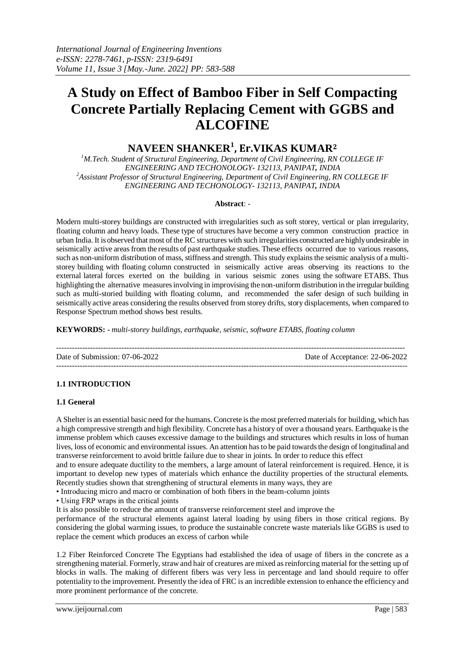# **A Study on Effect of Bamboo Fiber in Self Compacting Concrete Partially Replacing Cement with GGBS and ALCOFINE**

# **NAVEEN SHANKER<sup>1</sup> , Er.VIKAS KUMAR<sup>2</sup>**

*<sup>1</sup>M.Tech. Student of Structural Engineering, Department of Civil Engineering, RN COLLEGE IF ENGINEERING AND TECHONOLOGY- 132113, PANIPAT, INDIA <sup>2</sup>Assistant Professor of Structural Engineering, Department of Civil Engineering, RN COLLEGE IF ENGINEERING AND TECHONOLOGY- 132113, PANIPAT, INDIA*

#### **Abstract**: -

Modern multi-storey buildings are constructed with irregularities such as soft storey, vertical or plan irregularity, floating column and heavy loads. These type of structures have become a very common construction practice in urban India. It is observed that most of the RC structures with such irregularities constructed are highly undesirable in seismically active areas from the results of past earthquake studies. These effects occurred due to various reasons, such as non-uniform distribution of mass, stiffness and strength. This study explains the seismic analysis of a multistorey building with floating column constructed in seismically active areas observing its reactions to the external lateral forces exerted on the building in various seismic zones using the software ETABS. Thus highlighting the alternative measures involving in improvising the non-uniform distribution in the irregular building such as multi-storied building with floating column, and recommended the safer design of such building in seismically active areas considering the results observed from storey drifts, story displacements, when compared to Response Spectrum method shows best results.

**KEYWORDS: -** *multi-storey buildings, earthquake, seismic, software ETABS, floating column*

-------------------------------------------------------------------------------------------------------------------------------------- Date of Submission: 07-06-2022 Date of Acceptance: 22-06-2022 ---------------------------------------------------------------------------------------------------------------------------------------

#### **1.1 INTRODUCTION**

#### **1.1 General**

A Shelter is an essential basic need for the humans. Concrete is the most preferred materials for building, which has a high compressive strength and high flexibility. Concrete has a history of over a thousand years. Earthquake is the immense problem which causes excessive damage to the buildings and structures which results in loss of human lives, loss of economic and environmental issues. An attention has to be paid towards the design of longitudinal and transverse reinforcement to avoid brittle failure due to shear in joints. In order to reduce this effect

and to ensure adequate ductility to the members, a large amount of lateral reinforcement is required. Hence, it is important to develop new types of materials which enhance the ductility properties of the structural elements. Recently studies shown that strengthening of structural elements in many ways, they are

• Introducing micro and macro or combination of both fibers in the beam-column joints

• Using FRP wraps in the critical joints

It is also possible to reduce the amount of transverse reinforcement steel and improve the

performance of the structural elements against lateral loading by using fibers in those critical regions. By considering the global warming issues, to produce the sustainable concrete waste materials like GGBS is used to replace the cement which produces an excess of carbon while

1.2 Fiber Reinforced Concrete The Egyptians had established the idea of usage of fibers in the concrete as a strengthening material. Formerly, straw and hair of creatures are mixed as reinforcing material for the setting up of blocks in walls. The making of different fibers was very less in percentage and land should require to offer potentiality to the improvement. Presently the idea of FRC is an incredible extension to enhance the efficiency and more prominent performance of the concrete.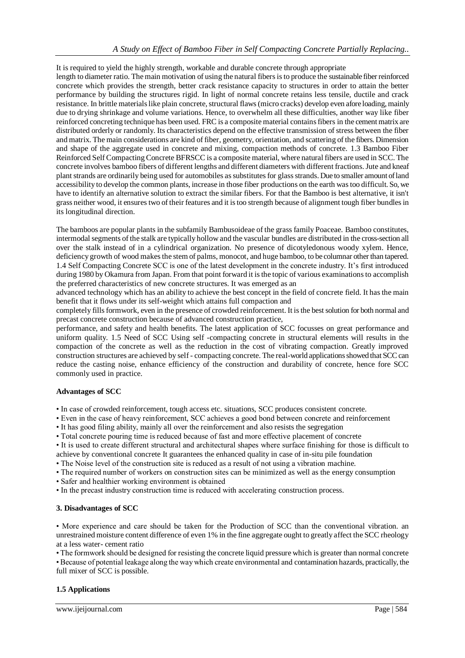#### It is required to yield the highly strength, workable and durable concrete through appropriate

length to diameter ratio. The main motivation of using the natural fibers is to produce the sustainable fiber reinforced concrete which provides the strength, better crack resistance capacity to structures in order to attain the better performance by building the structures rigid. In light of normal concrete retains less tensile, ductile and crack resistance. In brittle materials like plain concrete, structural flaws (micro cracks) develop even afore loading, mainly due to drying shrinkage and volume variations. Hence, to overwhelm all these difficulties, another way like fiber reinforced concreting technique has been used. FRC is a composite material contains fibers in the cement matrix are distributed orderly or randomly. Its characteristics depend on the effective transmission of stress between the fiber and matrix. The main considerations are kind of fiber, geometry, orientation, and scattering of the fibers. Dimension and shape of the aggregate used in concrete and mixing, compaction methods of concrete. 1.3 Bamboo Fiber Reinforced Self Compacting Concrete BFRSCC is a composite material, where natural fibers are used in SCC. The concrete involves bamboo fibers of different lengths and different diameters with different fractions. Jute and kneaf plant strands are ordinarily being used for automobiles as substitutes for glass strands. Due to smaller amount of land accessibility to develop the common plants, increase in those fiber productions on the earth was too difficult. So, we have to identify an alternative solution to extract the similar fibers. For that the Bamboo is best alternative, it isn't grass neither wood, it ensures two of their features and it is too strength because of alignment tough fiber bundles in its longitudinal direction.

The bamboos are popular plants in the subfamily Bambusoideae of the grass family Poaceae. Bamboo constitutes, intermodal segments of the stalk are typically hollow and the vascular bundles are distributed in the cross-section all over the stalk instead of in a cylindrical organization. No presence of dicotyledonous woody xylem. Hence, deficiency growth of wood makes the stem of palms, monocot, and huge bamboo, to be columnar other than tapered. 1.4 Self Compacting Concrete SCC is one of the latest development in the concrete industry. It's first introduced during 1980 by Okamura from Japan. From that point forward it is the topic of various examinations to accomplish the preferred characteristics of new concrete structures. It was emerged as an

advanced technology which has an ability to achieve the best concept in the field of concrete field. It has the main benefit that it flows under its self-weight which attains full compaction and

completely fills formwork, even in the presence of crowded reinforcement. It is the best solution for both normal and precast concrete construction because of advanced construction practice,

performance, and safety and health benefits. The latest application of SCC focusses on great performance and uniform quality. 1.5 Need of SCC Using self -compacting concrete in structural elements will results in the compaction of the concrete as well as the reduction in the cost of vibrating compaction. Greatly improved construction structures are achieved by self - compacting concrete. The real-world applicationsshowed that SCC can reduce the casting noise, enhance efficiency of the construction and durability of concrete, hence fore SCC commonly used in practice.

#### **Advantages of SCC**

• In case of crowded reinforcement, tough access etc. situations, SCC produces consistent concrete.

- Even in the case of heavy reinforcement, SCC achieves a good bond between concrete and reinforcement
- It has good filing ability, mainly all over the reinforcement and also resists the segregation
- Total concrete pouring time is reduced because of fast and more effective placement of concrete

• It is used to create different structural and architectural shapes where surface finishing for those is difficult to

- achieve by conventional concrete It guarantees the enhanced quality in case of in-situ pile foundation
- The Noise level of the construction site is reduced as a result of not using a vibration machine.
- The required number of workers on construction sites can be minimized as well as the energy consumption
- Safer and healthier working environment is obtained
- In the precast industry construction time is reduced with accelerating construction process.

## **3. Disadvantages of SCC**

• More experience and care should be taken for the Production of SCC than the conventional vibration. an unrestrained moisture content difference of even 1% in the fine aggregate ought to greatly affect the SCC rheology at a less water- cement ratio

• The formwork should be designed for resisting the concrete liquid pressure which is greater than normal concrete • Because of potential leakage along the way which create environmental and contamination hazards, practically, the full mixer of SCC is possible.

# **1.5 Applications**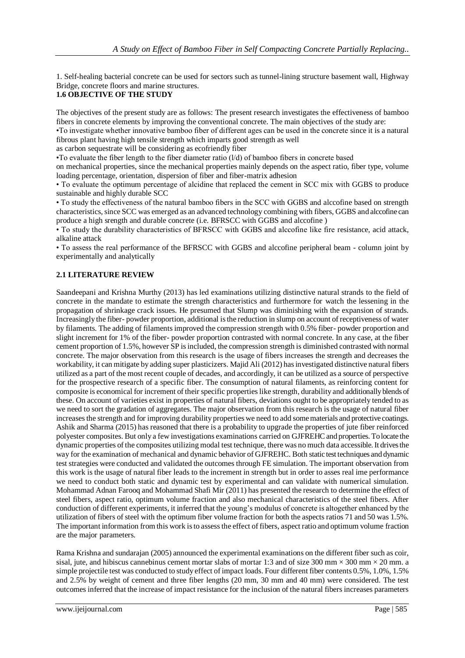1. Self-healing bacterial concrete can be used for sectors such as tunnel-lining structure basement wall, Highway Bridge, concrete floors and marine structures.

#### **1.6 OBJECTIVE OF THE STUDY**

The objectives of the present study are as follows: The present research investigates the effectiveness of bamboo fibers in concrete elements by improving the conventional concrete. The main objectives of the study are:

•To investigate whether innovative bamboo fiber of different ages can be used in the concrete since it is a natural fibrous plant having high tensile strength which imparts good strength as well

as carbon sequestrate will be considering as ecofriendly fiber

 $\bullet$  To evaluate the fiber length to the fiber diameter ratio ( $1/d$ ) of bamboo fibers in concrete based

on mechanical properties, since the mechanical properties mainly depends on the aspect ratio, fiber type, volume loading percentage, orientation, dispersion of fiber and fiber-matrix adhesion

• To evaluate the optimum percentage of alcidine that replaced the cement in SCC mix with GGBS to produce sustainable and highly durable SCC

• To study the effectiveness of the natural bamboo fibers in the SCC with GGBS and alccofine based on strength characteristics, since SCC was emerged as an advanced technology combining with fibers, GGBS and alccofine can produce a high srength and durable concrete (i.e. BFRSCC with GGBS and alccofine )

• To study the durability characteristics of BFRSCC with GGBS and alccofine like fire resistance, acid attack, alkaline attack

• To assess the real performance of the BFRSCC with GGBS and alccofine peripheral beam - column joint by experimentally and analytically

## **2.1 LITERATURE REVIEW**

Saandeepani and Krishna Murthy (2013) has led examinations utilizing distinctive natural strands to the field of concrete in the mandate to estimate the strength characteristics and furthermore for watch the lessening in the propagation of shrinkage crack issues. He presumed that Slump was diminishing with the expansion of strands. Increasingly the fiber- powder proportion, additional is the reduction in slump on account of receptiveness of water by filaments. The adding of filaments improved the compression strength with 0.5% fiber- powder proportion and slight increment for 1% of the fiber- powder proportion contrasted with normal concrete. In any case, at the fiber cement proportion of 1.5%, however SP is included, the compression strength is diminished contrasted with normal concrete. The major observation from this research is the usage of fibers increases the strength and decreases the workability, it can mitigate by adding super plasticizers. Majid Ali (2012) has investigated distinctive natural fibers utilized as a part of the most recent couple of decades, and accordingly, it can be utilized as a source of perspective for the prospective research of a specific fiber. The consumption of natural filaments, as reinforcing content for composite is economical for increment of their specific properties like strength, durability and additionally blends of these. On account of varieties exist in properties of natural fibers, deviations ought to be appropriately tended to as we need to sort the gradation of aggregates. The major observation from this research is the usage of natural fiber increases the strength and for improving durability properties we need to add some materials and protective coatings. Ashik and Sharma (2015) has reasoned that there is a probability to upgrade the properties of jute fiber reinforced polyester composites. But only a few investigations examinations carried on GJFREHC and properties. To locate the dynamic properties of the composites utilizing modal test technique, there was no much data accessible. It drives the way for the examination of mechanical and dynamic behavior of GJFREHC. Both static test techniques and dynamic test strategies were conducted and validated the outcomes through FE simulation. The important observation from this work is the usage of natural fiber leads to the increment in strength but in order to asses real ime performance we need to conduct both static and dynamic test by experimental and can validate with numerical simulation. Mohammad Adnan Farooq and Mohammad Shafi Mir (2011) has presented the research to determine the effect of steel fibers, aspect ratio, optimum volume fraction and also mechanical characteristics of the steel fibers. After conduction of different experiments, it inferred that the young's modulus of concrete is altogether enhanced by the utilization of fibers of steel with the optimum fiber volume fraction for both the aspects ratios 71 and 50 was 1.5%. The important information from this work is to assess the effect of fibers, aspect ratio and optimum volume fraction are the major parameters.

Rama Krishna and sundarajan (2005) announced the experimental examinations on the different fiber such as coir, sisal, jute, and hibiscus cannebinus cement mortar slabs of mortar 1:3 and of size 300 mm  $\times$  300 mm  $\times$  20 mm. a simple projectile test was conducted to study effect of impact loads. Four different fiber contents 0.5%, 1.0%, 1.5% and 2.5% by weight of cement and three fiber lengths (20 mm, 30 mm and 40 mm) were considered. The test outcomes inferred that the increase of impact resistance for the inclusion of the natural fibers increases parameters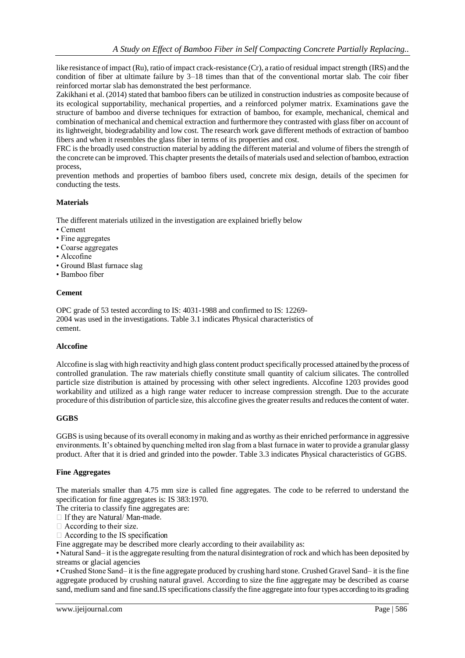like resistance of impact (Ru), ratio of impact crack-resistance (Cr), a ratio of residual impact strength (IRS) and the condition of fiber at ultimate failure by 3–18 times than that of the conventional mortar slab. The coir fiber reinforced mortar slab has demonstrated the best performance.

Zakikhani et al. (2014) stated that bamboo fibers can be utilized in construction industries as composite because of its ecological supportability, mechanical properties, and a reinforced polymer matrix. Examinations gave the structure of bamboo and diverse techniques for extraction of bamboo, for example, mechanical, chemical and combination of mechanical and chemical extraction and furthermore they contrasted with glass fiber on account of its lightweight, biodegradability and low cost. The research work gave different methods of extraction of bamboo fibers and when it resembles the glass fiber in terms of its properties and cost.

FRC is the broadly used construction material by adding the different material and volume of fibers the strength of the concrete can be improved. This chapter presents the details of materials used and selection of bamboo, extraction process,

prevention methods and properties of bamboo fibers used, concrete mix design, details of the specimen for conducting the tests.

#### **Materials**

The different materials utilized in the investigation are explained briefly below

- Cement
- Fine aggregates
- Coarse aggregates
- Alccofine
- Ground Blast furnace slag
- Bamboo fiber

#### **Cement**

OPC grade of 53 tested according to IS: 4031-1988 and confirmed to IS: 12269- 2004 was used in the investigations. Table 3.1 indicates Physical characteristics of cement.

#### **Alccofine**

Alccofine is slag with high reactivity and high glass content product specifically processed attained by the process of controlled granulation. The raw materials chiefly constitute small quantity of calcium silicates. The controlled particle size distribution is attained by processing with other select ingredients. Alccofine 1203 provides good workability and utilized as a high range water reducer to increase compression strength. Due to the accurate procedure of this distribution of particle size, this alccofine gives the greater results and reduces the content of water.

#### **GGBS**

GGBS is using because of its overall economy in making and as worthy as their enriched performance in aggressive environments. It's obtained by quenching melted iron slag from a blast furnace in water to provide a granular glassy product. After that it is dried and grinded into the powder. Table 3.3 indicates Physical characteristics of GGBS.

#### **Fine Aggregates**

The materials smaller than 4.75 mm size is called fine aggregates. The code to be referred to understand the specification for fine aggregates is: IS 383:1970.

The criteria to classify fine aggregates are:

 $\Box$  If they are Natural/Man-made.

 $\Box$  According to their size.

 $\Box$  According to the IS specification

Fine aggregate may be described more clearly according to their availability as:

• Natural Sand– it is the aggregate resulting from the natural disintegration of rock and which has been deposited by streams or glacial agencies

• Crushed Stone Sand– it is the fine aggregate produced by crushing hard stone. Crushed Gravel Sand– it is the fine aggregate produced by crushing natural gravel. According to size the fine aggregate may be described as coarse sand, medium sand and fine sand.IS specifications classify the fine aggregate into four types according to its grading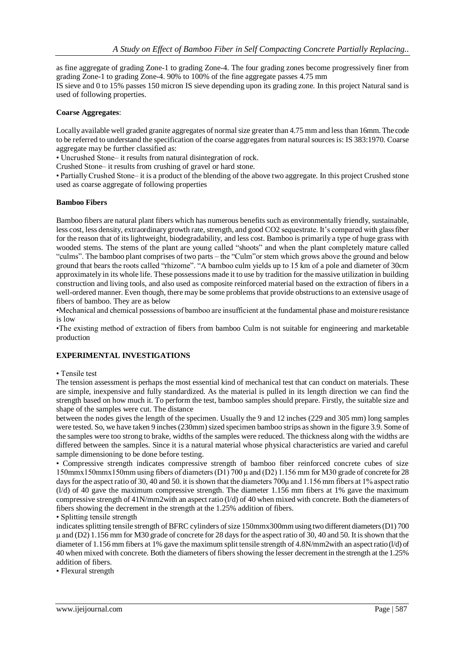as fine aggregate of grading Zone-1 to grading Zone-4. The four grading zones become progressively finer from grading Zone-1 to grading Zone-4. 90% to 100% of the fine aggregate passes 4.75 mm IS sieve and 0 to 15% passes 150 micron IS sieve depending upon its grading zone. In this project Natural sand is used of following properties.

#### **Coarse Aggregates**:

Locally available well graded granite aggregates of normal size greater than 4.75 mm and less than 16mm. The code to be referred to understand the specification of the coarse aggregates from natural sources is: IS 383:1970. Coarse aggregate may be further classified as:

• Uncrushed Stone– it results from natural disintegration of rock.

Crushed Stone– it results from crushing of gravel or hard stone.

• Partially Crushed Stone– it is a product of the blending of the above two aggregate. In this project Crushed stone used as coarse aggregate of following properties

#### **Bamboo Fibers**

Bamboo fibers are natural plant fibers which has numerous benefits such as environmentally friendly, sustainable, less cost, less density, extraordinary growth rate, strength, and good CO2 sequestrate. It's compared with glass fiber for the reason that of its lightweight, biodegradability, and less cost. Bamboo is primarily a type of huge grass with wooded stems. The stems of the plant are young called "shoots" and when the plant completely mature called "culms". The bamboo plant comprises of two parts – the "Culm"or stem which grows above the ground and below ground that bears the roots called "rhizome". "A bamboo culm yields up to 15 km of a pole and diameter of 30cm approximately in its whole life. These possessions made it to use by tradition for the massive utilization in building construction and living tools, and also used as composite reinforced material based on the extraction of fibers in a well-ordered manner. Even though, there may be some problems that provide obstructions to an extensive usage of fibers of bamboo. They are as below

•Mechanical and chemical possessions of bamboo are insufficient at the fundamental phase and moisture resistance is low

•The existing method of extraction of fibers from bamboo Culm is not suitable for engineering and marketable production

#### **EXPERIMENTAL INVESTIGATIONS**

#### • Tensile test

The tension assessment is perhaps the most essential kind of mechanical test that can conduct on materials. These are simple, inexpensive and fully standardized. As the material is pulled in its length direction we can find the strength based on how much it. To perform the test, bamboo samples should prepare. Firstly, the suitable size and shape of the samples were cut. The distance

between the nodes gives the length of the specimen. Usually the 9 and 12 inches (229 and 305 mm) long samples were tested. So, we have taken 9 inches (230mm) sized specimen bamboo strips as shown in the figure 3.9. Some of the samples were too strong to brake, widths of the samples were reduced. The thickness along with the widths are differed between the samples. Since it is a natural material whose physical characteristics are varied and careful sample dimensioning to be done before testing.

• Compressive strength indicates compressive strength of bamboo fiber reinforced concrete cubes of size 150mmx150mmx150mm using fibers of diameters (D1) 700 μ and (D2) 1.156 mm for M30 grade of concrete for 28 days for the aspect ratio of 30, 40 and 50. it is shown that the diameters 700μ and 1.156 mm fibers at 1% aspect ratio (l/d) of 40 gave the maximum compressive strength. The diameter 1.156 mm fibers at 1% gave the maximum compressive strength of 41N/mm2with an aspect ratio (l/d) of 40 when mixed with concrete. Both the diameters of fibers showing the decrement in the strength at the 1.25% addition of fibers.

• Splitting tensile strength

indicates splitting tensile strength of BFRC cylinders of size 150mmx300mm using two different diameters (D1) 700 μ and (D2) 1.156 mm for M30 grade of concrete for 28 days for the aspect ratio of 30, 40 and 50. It is shown that the diameter of 1.156 mm fibers at 1% gave the maximum split tensile strength of 4.8N/mm2with an aspect ratio (l/d) of 40 when mixed with concrete. Both the diameters of fibers showing the lesser decrement in the strength at the 1.25% addition of fibers.

• Flexural strength